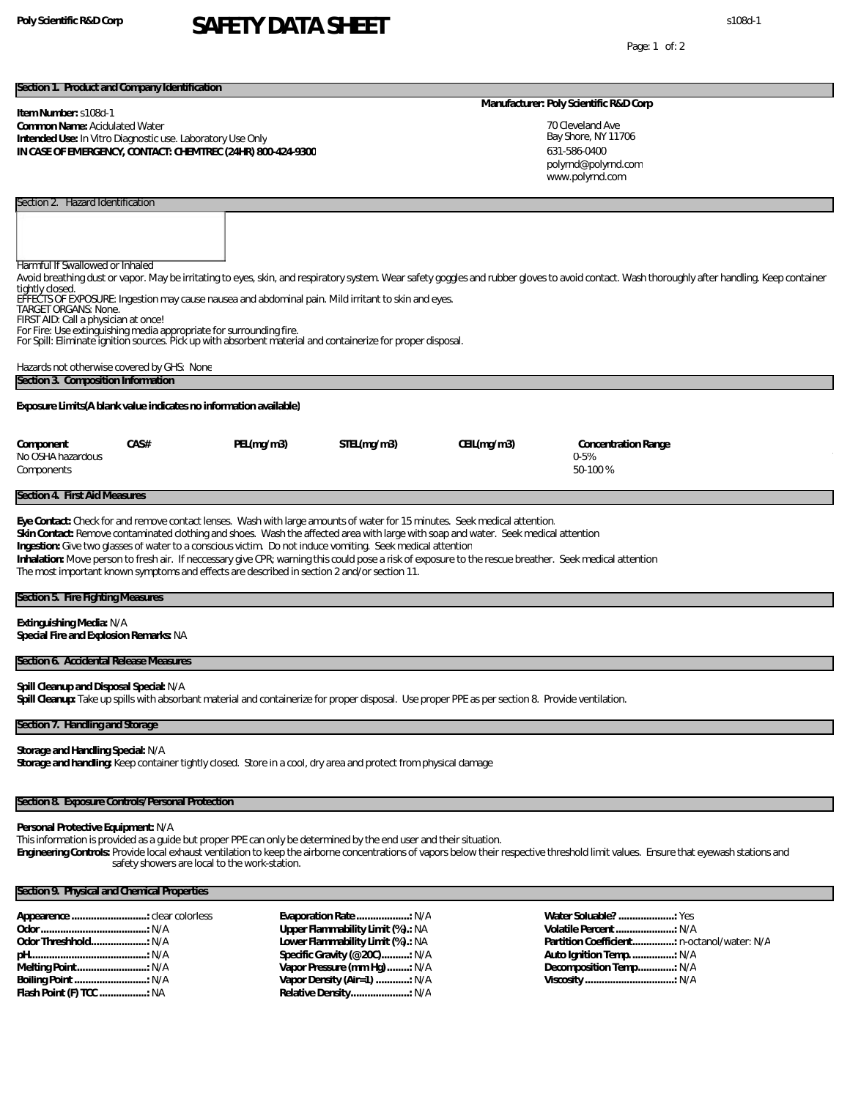# **Poly Scientific R&D Corp** s108d-1 **SAFETY DATA SHEET**

Page: 1 of: 2

### **Section 1. Product and Company Identification**

Section 2. Hazard Identification

### **Item Number:** s108d-1 **Common Name:** Acidulated Water **Intended Use:** In Vitro Diagnostic use. Laboratory Use Only **IN CASE OF EMERGENCY, CONTACT: CHEMTREC (24HR) 800-424-9300**

# **Manufacturer: Poly Scientific R&D Corp**

| 70 Cleveland Ave<br>Bay Shore, NY 11706 |
|-----------------------------------------|
|                                         |
| 631-586-0400                            |
| polyrnd@polyrnd.com                     |
| www.polyrnd.com                         |

| <b>Harmful If Swallowed or Inhaled</b><br>Avoid breathing dust or vapor. May be irritating to eyes, skin, and respiratory system. Wear safety goggles and rubber gloves to avoid contact. Wash thoroughly after handling. Keep container<br>tightly closed.<br>EFFECTS OF EXPOSURE: Ingestion may cause nausea and abdominal pain. Mild irritant to skin and eyes.<br><b>TARGET ORGANS: None.</b><br>FIRST AID: Call a physician at once!<br>For Fire: Use extinguishing media appropriate for surrounding fire.<br>For Spill: Eliminate ignition sources. Pick up with absorbent material and containerize for proper disposal.<br>Hazards not otherwise covered by GHS: None |            |             |            |                                              |  |  |  |  |  |
|--------------------------------------------------------------------------------------------------------------------------------------------------------------------------------------------------------------------------------------------------------------------------------------------------------------------------------------------------------------------------------------------------------------------------------------------------------------------------------------------------------------------------------------------------------------------------------------------------------------------------------------------------------------------------------|------------|-------------|------------|----------------------------------------------|--|--|--|--|--|
| Section 3. Composition Information                                                                                                                                                                                                                                                                                                                                                                                                                                                                                                                                                                                                                                             |            |             |            |                                              |  |  |  |  |  |
| Exposure Limits (A blank value indicates no information available)                                                                                                                                                                                                                                                                                                                                                                                                                                                                                                                                                                                                             |            |             |            |                                              |  |  |  |  |  |
| CAS#<br>Component<br>No OSHA hazardous<br>Components                                                                                                                                                                                                                                                                                                                                                                                                                                                                                                                                                                                                                           | PEL(mq/m3) | STEL(mg/m3) | CEL(mq/m3) | Concentration Range<br>$0 - 5%$<br>$50-100%$ |  |  |  |  |  |
| Section 4. First Aid Measures                                                                                                                                                                                                                                                                                                                                                                                                                                                                                                                                                                                                                                                  |            |             |            |                                              |  |  |  |  |  |
| Eye Contact: Check for and remove contact lenses. Wash with large amounts of water for 15 minutes. Seek medical attention.<br>Skin Contact: Remove contaminated clothing and shoes. Wash the affected area with large with soap and water. Seek medical attention<br>Ingestion: Give two glasses of water to a conscious victim. Do not induce vomiting. Seek medical attention<br>Inhalation: Move person to fresh air. If neccessary give CPR; warning this could pose a risk of exposure to the rescue breather. Seek medical attention<br>The most important known symptoms and effects are described in section 2 and/or section 11.                                      |            |             |            |                                              |  |  |  |  |  |

# **Section 5. Fire Fighting Measures**

**Extinguishing Media:** N/A

**Special Fire and Explosion Remarks:** NA

### **Section 6. Accidental Release Measures**

**Spill Cleanup and Disposal Special:** N/A

**Spill Cleanup:** Take up spills with absorbant material and containerize for proper disposal. Use proper PPE as per section 8. Provide ventilation.

# **Section 7. Handling and Storage**

**Storage and Handling Special:** N/A **Storage and handling:** Keep container tightly closed. Store in a cool, dry area and protect from physical damage

## **Section 8. Exposure Controls/Personal Protection**

### **Personal Protective Equipment:** N/A

This information is provided as a guide but proper PPE can only be determined by the end user and their situation.

**Engineering Controls:** Provide local exhaust ventilation to keep the airborne concentrations of vapors below their respective threshold limit values. Ensure that eyewash stations and safety showers are local to the work-station.

# **Section 9. Physical and Chemical Properties**

| Appearence : clear colorless |  |
|------------------------------|--|
|                              |  |
|                              |  |
|                              |  |
| Melting Point: N/A           |  |
|                              |  |
| Flash Point (F) TCC  NA      |  |

**Evaporation Rate ...................:** N/A **Upper Flammability Limit (%).:** NA **Lower Flammability Limit (%).:** NA **Specific Gravity (@20C)..........:** N/A **Vapor Pressure (mm Hg)........:** N/A **Vapor Density (Air=1) ............:** N/A **Relative Density.....................:** N/A

**Water Soluable? ....................:** Yes **Volatile Percent.....................:** N/A **Partition Coefficient...............:** n-octanol/water: N/A **Auto Ignition Temp................:** N/A **Decomposition Temp.............:** N/A **Viscosity ................................:** N/A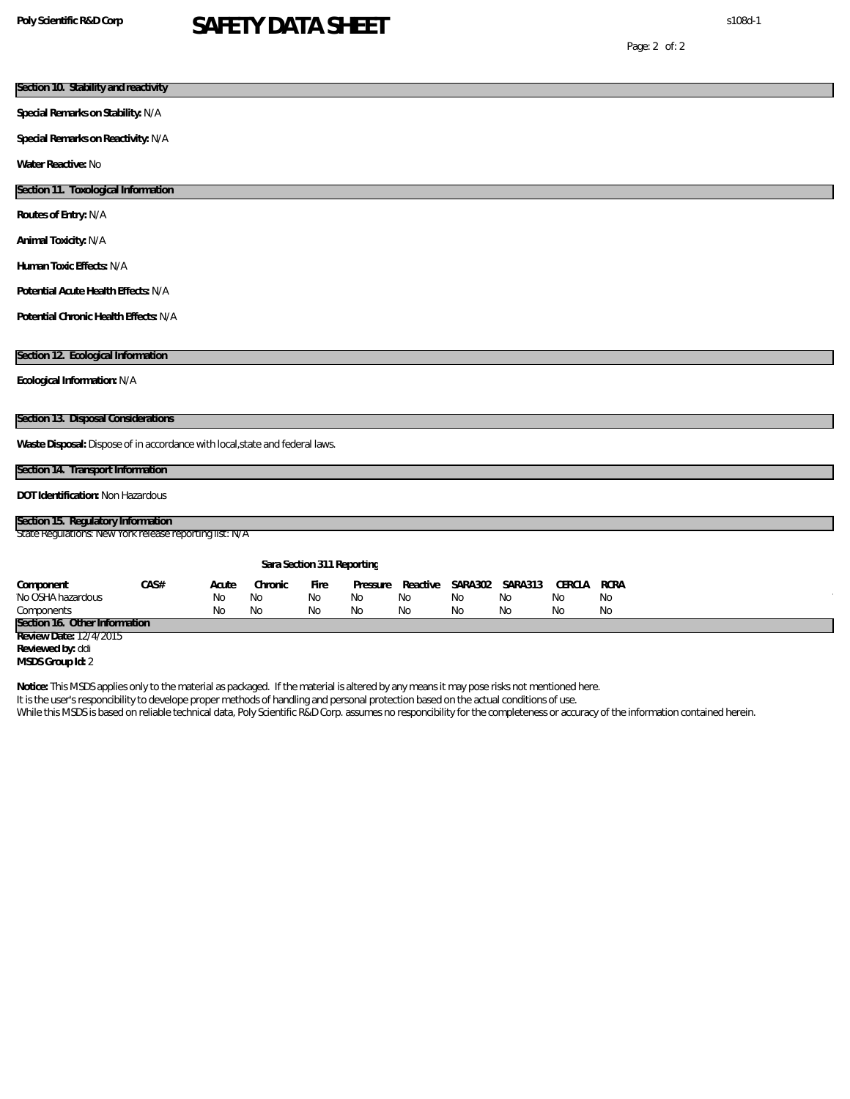# **Poly Scientific R&D Corp** s108d-1 **SAFETY DATA SHEET**

Page: 2 of: 2

| Section 10. Stability and reactivity                                                                                                                                                                                                                                               |             |               |            |                            |                |                       |               |              |                   |  |  |
|------------------------------------------------------------------------------------------------------------------------------------------------------------------------------------------------------------------------------------------------------------------------------------|-------------|---------------|------------|----------------------------|----------------|-----------------------|---------------|--------------|-------------------|--|--|
| Special Remarks on Stability: N/A                                                                                                                                                                                                                                                  |             |               |            |                            |                |                       |               |              |                   |  |  |
| Special Remarks on Reactivity: N/A                                                                                                                                                                                                                                                 |             |               |            |                            |                |                       |               |              |                   |  |  |
| Water Reactive: No                                                                                                                                                                                                                                                                 |             |               |            |                            |                |                       |               |              |                   |  |  |
| Section 11. Toxological Information                                                                                                                                                                                                                                                |             |               |            |                            |                |                       |               |              |                   |  |  |
| Routes of Entry: N/A                                                                                                                                                                                                                                                               |             |               |            |                            |                |                       |               |              |                   |  |  |
| Animal Toxicity: N/A                                                                                                                                                                                                                                                               |             |               |            |                            |                |                       |               |              |                   |  |  |
| Human Toxic Effects: N/A                                                                                                                                                                                                                                                           |             |               |            |                            |                |                       |               |              |                   |  |  |
| Potential Acute Health Effects: N/A                                                                                                                                                                                                                                                |             |               |            |                            |                |                       |               |              |                   |  |  |
| Potential Chronic Health Effects: N/A                                                                                                                                                                                                                                              |             |               |            |                            |                |                       |               |              |                   |  |  |
|                                                                                                                                                                                                                                                                                    |             |               |            |                            |                |                       |               |              |                   |  |  |
| Section 12. Ecological Information                                                                                                                                                                                                                                                 |             |               |            |                            |                |                       |               |              |                   |  |  |
| Ecological Information: N/A                                                                                                                                                                                                                                                        |             |               |            |                            |                |                       |               |              |                   |  |  |
|                                                                                                                                                                                                                                                                                    |             |               |            |                            |                |                       |               |              |                   |  |  |
| Section 13. Disposal Considerations                                                                                                                                                                                                                                                |             |               |            |                            |                |                       |               |              |                   |  |  |
| Waste Disposal: Dispose of in accordance with local, state and federal laws.                                                                                                                                                                                                       |             |               |            |                            |                |                       |               |              |                   |  |  |
| Section 14. Transport Information                                                                                                                                                                                                                                                  |             |               |            |                            |                |                       |               |              |                   |  |  |
| DOT Identification: Non Hazardous                                                                                                                                                                                                                                                  |             |               |            |                            |                |                       |               |              |                   |  |  |
| Section 15. Regulatory Information                                                                                                                                                                                                                                                 |             |               |            |                            |                |                       |               |              |                   |  |  |
| State Regulations New York release reporting list: N/A                                                                                                                                                                                                                             |             |               |            |                            |                |                       |               |              |                   |  |  |
|                                                                                                                                                                                                                                                                                    |             |               |            |                            |                |                       |               |              |                   |  |  |
|                                                                                                                                                                                                                                                                                    |             |               |            | Sara Section 311 Reporting |                |                       |               |              |                   |  |  |
| CAS#<br>Component<br>No OSHA hazardous                                                                                                                                                                                                                                             | Acute<br>No | Chronic<br>No | Fire<br>No | Pressure<br>No             | Reactive<br>No | <b>SARA 302</b><br>No | SARA313<br>No | CERCLA<br>No | <b>RCRA</b><br>No |  |  |
| Components                                                                                                                                                                                                                                                                         | No          | No            | No         | No                         | No             | No                    | No            | No           | No                |  |  |
| Section 16. Other Information<br>Review Date: 12/4/2015                                                                                                                                                                                                                            |             |               |            |                            |                |                       |               |              |                   |  |  |
| Reviewed by: ddi                                                                                                                                                                                                                                                                   |             |               |            |                            |                |                       |               |              |                   |  |  |
| MSDS Group Id: 2                                                                                                                                                                                                                                                                   |             |               |            |                            |                |                       |               |              |                   |  |  |
| Notice: This MSDS applies only to the material as packaged. If the material is altered by any means it may pose risks not mentioned here.<br>It is the user's responcibility to develope proper methods of handling and personal protection based on the actual conditions of use. |             |               |            |                            |                |                       |               |              |                   |  |  |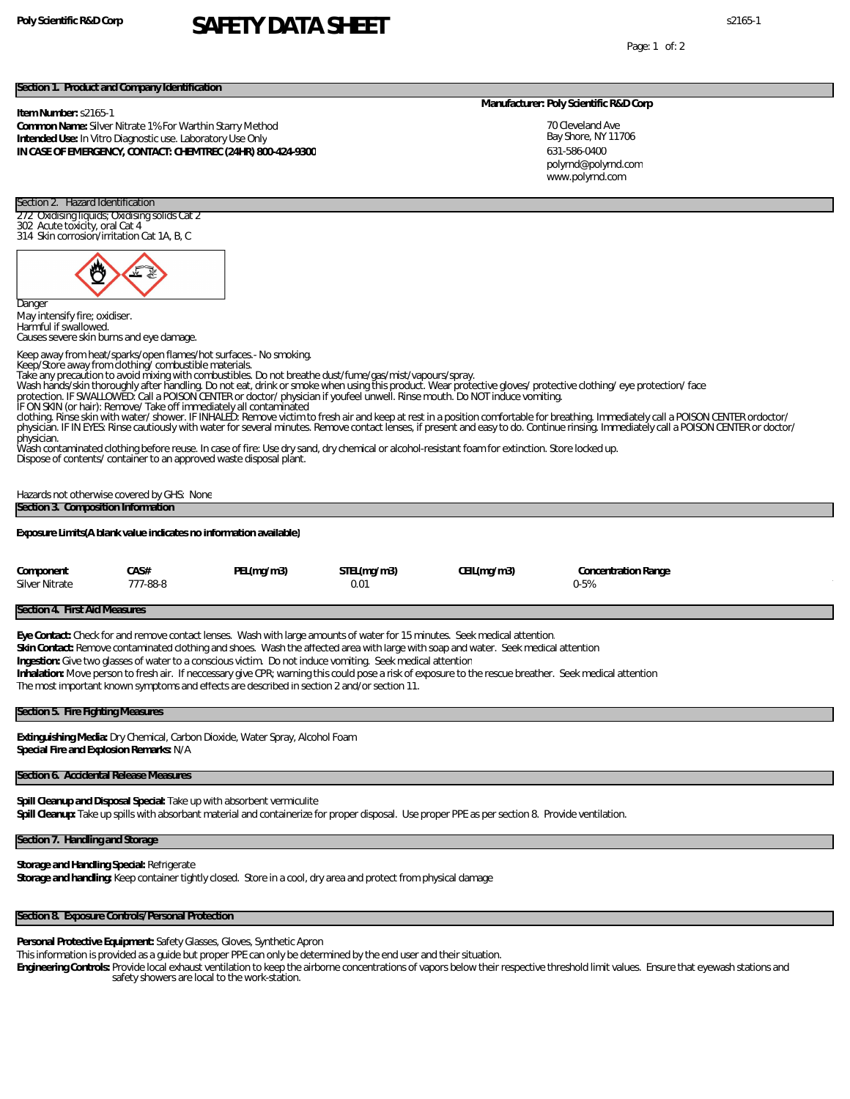# **Poly Scientific R&D Corp** s2165-1 **SAFETY DATA SHEET**

Page: 1 of: 2

### **Section 1. Product and Company Identification**

**Item Number:** s2165-1

Section 2. Hazard Identification 272 Oxidising liquids; Oxidising solids Cat 2

302 Acute toxicity, oral Cat 4 314 Skin corrosion/irritation Cat 1A, B, C

**Common Name:** Silver Nitrate 1% For Warthin Starry Method **Intended Use:** In Vitro Diagnostic use. Laboratory Use Only **IN CASE OF EMERGENCY, CONTACT: CHEMTREC (24HR) 800-424-9300**

#### **Manufacturer: Poly Scientific R&D Corp**

70 Cleveland Ave Bay Shore, NY 11706 631-586-0400 www.polyrnd.com polyrnd@polyrnd.com

# Dange May intensify fire; oxidiser. Harmful if swallowed. Keep away from heat/sparks/open flames/hot surfaces.- No smoking. Take any precaution to avoid mixing with combustibles. Do not breathe dust/fume/gas/mist/vapours/spray.<br>Wash hands/skin thoroughly after handling. Do not eat, drink or smoke when using this product. Wear protective gloves/ IF ON SKIN (or hair): Remove/ Take off immediately all contaminated clothing. Rinse skin with water/ shower. IF INHALED: Remove victim to fresh air and keep at rest in a position comfortable for breathing. Immediately call a POISON CENTER ordoctor/ physician. IF IN EYES: Rinse cautiously with water for several minutes. Remove contact lenses, if present and easy to do. Continue rinsing. Immediately call a POISON CENTER or doctor/ Dispose of contents/ container to an approved waste disposal plant. Hazards not otherwise covered by GHS: None **Section 4. First Aid Measures Eye Contact:** Check for and remove contact lenses. Wash with large amounts of water for 15 minutes. Seek medical attention. **Skin Contact:** Remove contaminated clothing and shoes. Wash the affected area with large with soap and water. Seek medical attention **Ingestion:** Give two glasses of water to a conscious victim. Do not induce vomiting. Seek medical attention **Inhalation:** Move person to fresh air. If neccessary give CPR; warning this could pose a risk of exposure to the rescue breather. Seek medical attention

### **Section 5. Fire Fighting Measures**

**Extinguishing Media:** Dry Chemical, Carbon Dioxide, Water Spray, Alcohol Foam **Special Fire and Explosion Remarks:** N/A

### **Section 6. Accidental Release Measures**

**Spill Cleanup and Disposal Special:** Take up with absorbent vermiculite **Spill Cleanup:** Take up spills with absorbant material and containerize for proper disposal. Use proper PPE as per section 8. Provide ventilation.

### **Section 7. Handling and Storage**

**Storage and Handling Special:** Refrigerate **Storage and handling:** Keep container tightly closed. Store in a cool, dry area and protect from physical damage

# **Section 8. Exposure Controls/Personal Protection**

**Personal Protective Equipment:** Safety Glasses, Gloves, Synthetic Apron

This information is provided as a guide but proper PPE can only be determined by the end user and their situation.

**Engineering Controls:** Provide local exhaust ventilation to keep the airborne concentrations of vapors below their respective threshold limit values. Ensure that eyewash stations and safety showers are local to the work-station.

Causes severe skin burns and eye damage. Keep/Store away from clothing/ combustible materials.

physician. Wash contaminated clothing before reuse. In case of fire: Use dry sand, dry chemical or alcohol-resistant foam for extinction. Store locked up.

**Section 3. Composition Information Exposure Limits(A blank value indicates no information available) Component CAS# PEL(mg/m3) STEL(mg/m3) CEIL(mg/m3) Concentration Range** Silver Nitrate 777-88-8 0.01 0-5%

The most important known symptoms and effects are described in section 2 and/or section 11.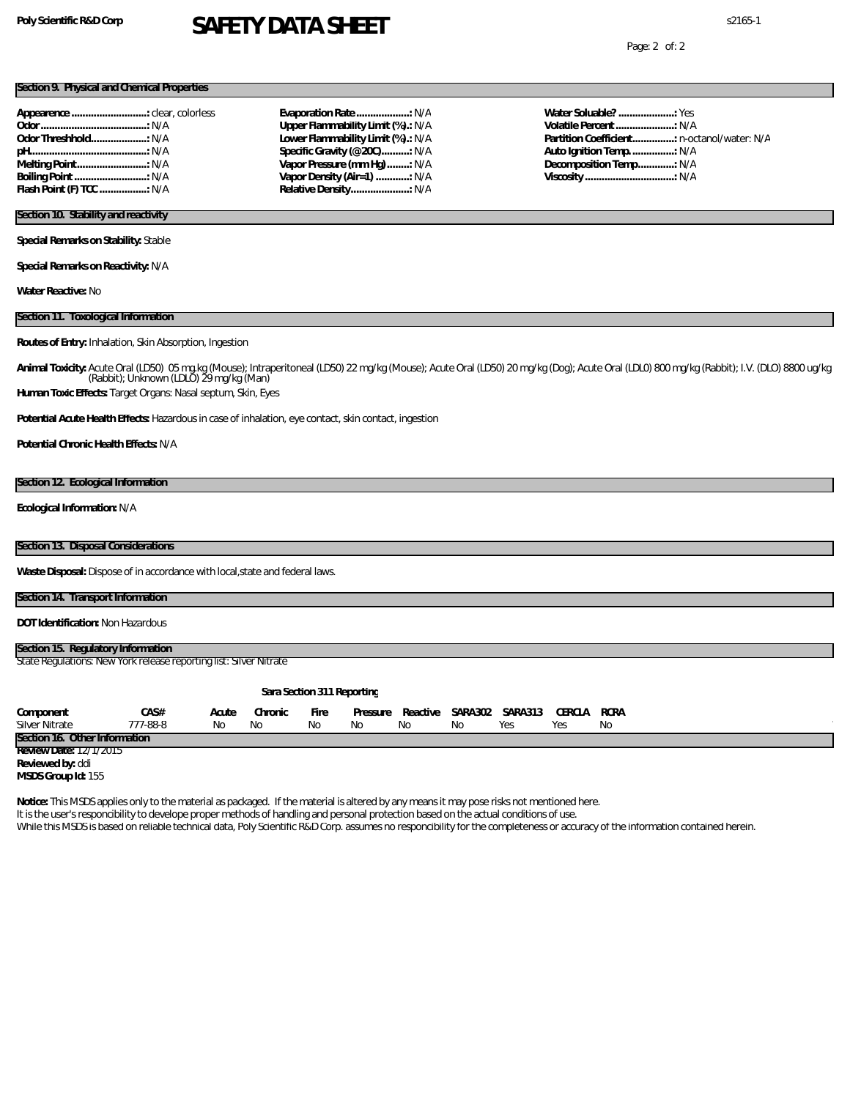# **Poly Scientific R&D Corp** s2165-1 **SAFETY DATA SHEET**

Page: 2 of: 2

### **Section 9. Physical and Chemical Properties**

| Flash Point (F) TCC  N/A |  |
|--------------------------|--|

| Evaporation Rate: N/A              |  |
|------------------------------------|--|
| Upper Flammability Limit (%).: N/A |  |
| Lower Flammability Limit (%).: N/A |  |
| Specific Gravity (@ 20C): N/A      |  |
| Vapor Pressure (mm Hq) : N/A       |  |
| Vapor Density (Air=1) : N/A        |  |
| Relative Density N/A               |  |
|                                    |  |

**Water Soluable? ....................:** Yes **Volatile Percent.....................:** N/A **Partition Coefficient...............:** n-octanol/water: N/A **Auto Ignition Temp................:** N/A **Decomposition Temp.............:** N/A **Viscosity ................................:** N/A

# **Section 10. Stability and reactivity**

**Special Remarks on Stability:** Stable

**Special Remarks on Reactivity:** N/A

**Water Reactive:** No

#### **Section 11. Toxological Information**

**Routes of Entry:** Inhalation, Skin Absorption, Ingestion

Animal Toxicity: Acute Oral (LD50) O5 mg.kg (Mouse); Intraperitoneal (LD50) 22 mg/kg (Mouse); Acute Oral (LD50) 20 mg/kg (Dog); Acute Oral (LDL0) 800 mg/kg (Rabbit); I.V. (DLO) 8800 ug/kg<br>(Rabbit); Unknown (LDLO) 29 mg/kg

**Human Toxic Effects:** Target Organs: Nasal septum, Skin, Eyes

**Potential Acute Health Effects:** Hazardous in case of inhalation, eye contact, skin contact, ingestion

**Potential Chronic Health Effects:** N/A

#### **Section 12. Ecological Information**

**Ecological Information:** N/A

## **Section 13. Disposal Considerations**

**Waste Disposal:** Dispose of in accordance with local,state and federal laws.

### **Section 14. Transport Information**

**DOT Identification:** Non Hazardous

| Section 15. Regulatory Information                                |  |
|-------------------------------------------------------------------|--|
| State Regulations New York release reporting list: Silver Nitrate |  |
|                                                                   |  |
| Sara Section 311 Reporting                                        |  |

| Component                     | CA S#    | Acute | Chronic | Fire | Pressure | Reactive | SA RA 302 | SARA313 | CERCLA | RCRA |
|-------------------------------|----------|-------|---------|------|----------|----------|-----------|---------|--------|------|
| Silver Nitrate                | '77-88-8 | Νc    | Νo      |      | ΝC       |          | Nο        | Yes     | Yes    | No   |
| Section 16. Other Information |          |       |         |      |          |          |           |         |        |      |
| Review Date: 12/1/2015        |          |       |         |      |          |          |           |         |        |      |

**Reviewed by:** ddi

**Notice:** This MSDS applies only to the material as packaged. If the material is altered by any means it may pose risks not mentioned here.

It is the user's responcibility to develope proper methods of handling and personal protection based on the actual conditions of use.

**MSDS Group Id:** 155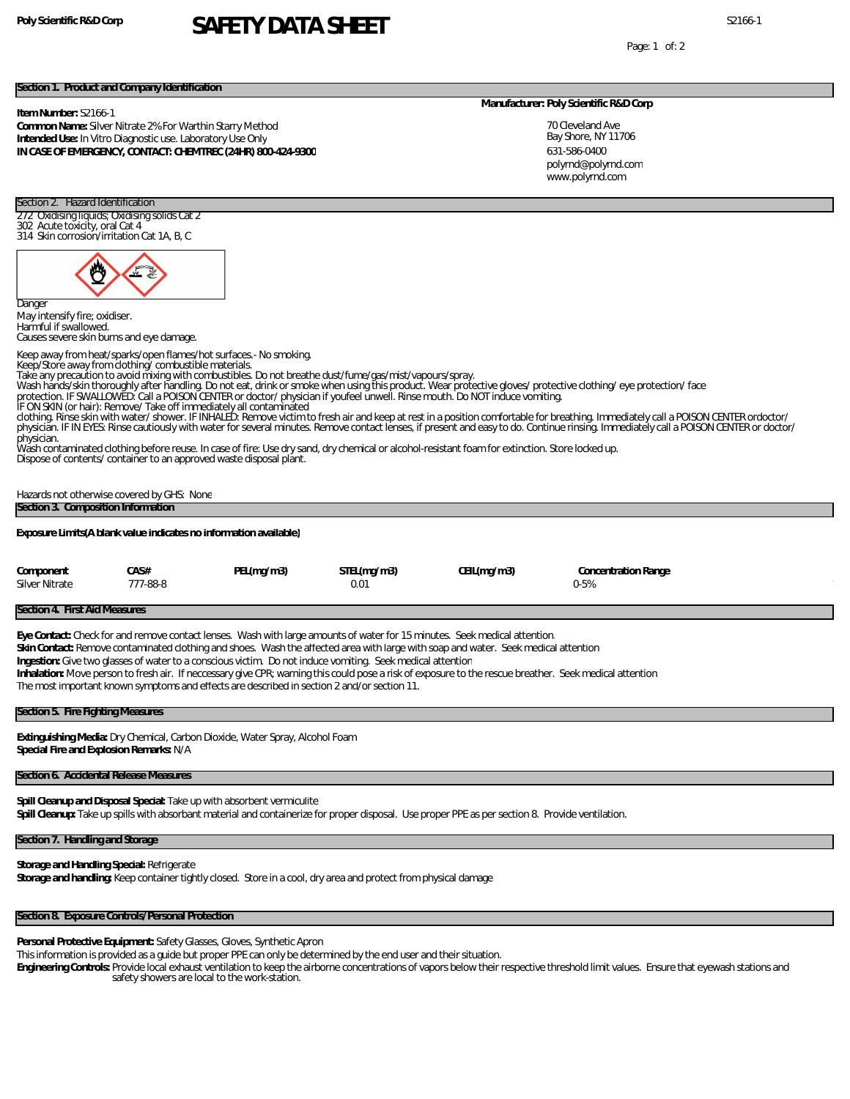# Poly Scientific R&D Corp **SAFETY DATA SHEET**

Page: 1 of: 2

### **Section 1. Product and Company Identification**

### **Item Number:** S2166-1

**Common Name:** Silver Nitrate 2% For Warthin Starry Method **Intended Use:** In Vitro Diagnostic use. Laboratory Use Only **IN CASE OF EMERGENCY, CONTACT: CHEMTREC (24HR) 800-424-9300**

#### **Manufacturer: Poly Scientific R&D Corp**

70 Cleveland Ave Bay Shore, NY 11706 631-586-0400 www.polyrnd.com polyrnd@polyrnd.com

# 272 Oxidising liquids; Oxidising solids Cat 2 302 Acute toxicity, oral Cat 4 314 Skin corrosion/irritation Cat 1A, B, C Dange

May intensify fire; oxidiser. Harmful if swallowed. Causes severe skin burns and eye damage.

Section 2. Hazard Identification

Keep away from heat/sparks/open flames/hot surfaces.- No smoking.

Keep/Store away from clothing/ combustible materials.

Take any precaution to avoid mixing with combustibles. Do not breathe dust/fume/gas/mist/vapours/spray.<br>Wash hands/skin thoroughly after handling. Do not eat, drink or smoke when using this product. Wear protective gloves/

- 
- IF ON SKIN (or hair): Remove/ Take off immediately all contaminated

clothing. Rinse skin with water/ shower. IF INHALED: Remove victim to fresh air and keep at rest in a position comfortable for breathing. Immediately call a POISON CENTER ordoctor/ physician. IF IN EYES: Rinse cautiously with water for several minutes. Remove contact lenses, if present and easy to do. Continue rinsing. Immediately call a POISON CENTER or doctor/ physician.

Wash contaminated clothing before reuse. In case of fire: Use dry sand, dry chemical or alcohol-resistant foam for extinction. Store locked up. Dispose of contents/ container to an approved waste disposal plant.

Hazards not otherwise covered by GHS: None **Section 3. Composition Information**

**Exposure Limits(A blank value indicates no information available)**

| Component      | CA S#    | PEL(mg/m3) | STEL(mg/m3) | CEIL(mg/m3) | Concentration Range |
|----------------|----------|------------|-------------|-------------|---------------------|
| Silver Nitrate | 777-88-8 |            | 0.01        |             | $2-5%$              |

### **Section 4. First Aid Measures**

**Eye Contact:** Check for and remove contact lenses. Wash with large amounts of water for 15 minutes. Seek medical attention.

**Skin Contact:** Remove contaminated clothing and shoes. Wash the affected area with large with soap and water. Seek medical attention

**Ingestion:** Give two glasses of water to a conscious victim. Do not induce vomiting. Seek medical attention

**Inhalation:** Move person to fresh air. If neccessary give CPR; warning this could pose a risk of exposure to the rescue breather. Seek medical attention The most important known symptoms and effects are described in section 2 and/or section 11.

### **Section 5. Fire Fighting Measures**

**Extinguishing Media:** Dry Chemical, Carbon Dioxide, Water Spray, Alcohol Foam **Special Fire and Explosion Remarks:** N/A

### **Section 6. Accidental Release Measures**

**Spill Cleanup and Disposal Special:** Take up with absorbent vermiculite **Spill Cleanup:** Take up spills with absorbant material and containerize for proper disposal. Use proper PPE as per section 8. Provide ventilation.

### **Section 7. Handling and Storage**

**Storage and Handling Special:** Refrigerate **Storage and handling:** Keep container tightly closed. Store in a cool, dry area and protect from physical damage

# **Section 8. Exposure Controls/Personal Protection**

**Personal Protective Equipment:** Safety Glasses, Gloves, Synthetic Apron

This information is provided as a guide but proper PPE can only be determined by the end user and their situation.

**Engineering Controls:** Provide local exhaust ventilation to keep the airborne concentrations of vapors below their respective threshold limit values. Ensure that eyewash stations and safety showers are local to the work-station.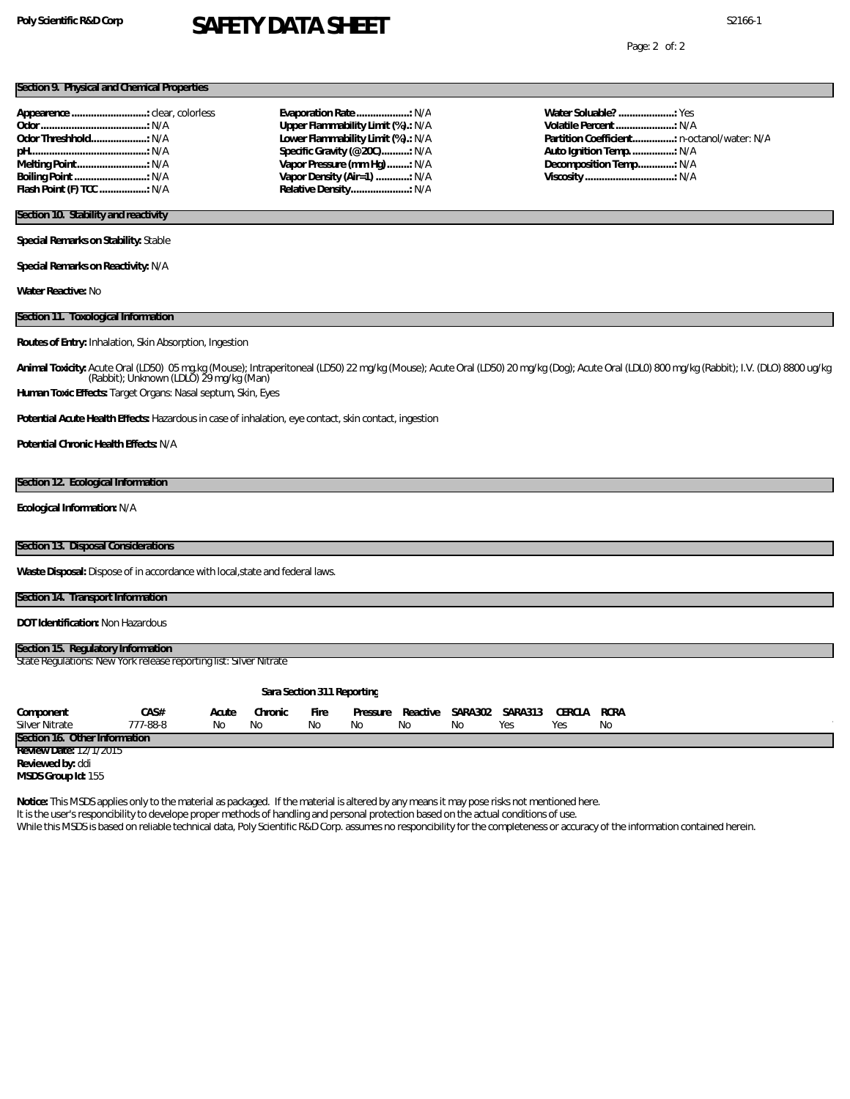# Poly Scientific R&D Corp **SAFETY DATA SHEET**

Page: 2 of: 2

### **Section 9. Physical and Chemical Properties**

| Appearence  clear, colorless |  |
|------------------------------|--|
|                              |  |
|                              |  |
|                              |  |
|                              |  |
|                              |  |
| Flash Point (F) TCC  N/A     |  |

## **Evaporation Rate ...................:** N/A **Upper Flammability Limit (%).:** N/A **Lower Flammability Limit (%).:** N/A **Specific Gravity (@20C)..........:** N/A **Vapor Pressure (mm Hg)........:** N/A **Vapor Density (Air=1) ............:** N/A **Relative Density.....................:** N/A

**Water Soluable? ....................:** Yes **Volatile Percent.....................:** N/A **Partition Coefficient...............:** n-octanol/water: N/A **Auto Ignition Temp................:** N/A **Decomposition Temp.............:** N/A **Viscosity ................................:** N/A

# **Section 10. Stability and reactivity**

**Special Remarks on Stability:** Stable

**Special Remarks on Reactivity:** N/A

**Water Reactive:** No

#### **Section 11. Toxological Information**

**Routes of Entry:** Inhalation, Skin Absorption, Ingestion

Animal Toxicity: Acute Oral (LD50) O5 mg.kg (Mouse); Intraperitoneal (LD50) 22 mg/kg (Mouse); Acute Oral (LD50) 20 mg/kg (Dog); Acute Oral (LDL0) 800 mg/kg (Rabbit); I.V. (DLO) 8800 ug/kg<br>(Rabbit); Unknown (LDLO) 29 mg/kg

**Human Toxic Effects:** Target Organs: Nasal septum, Skin, Eyes

**Potential Acute Health Effects:** Hazardous in case of inhalation, eye contact, skin contact, ingestion

**Potential Chronic Health Effects:** N/A

#### **Section 12. Ecological Information**

**Ecological Information:** N/A

## **Section 13. Disposal Considerations**

Waste Disposal: Dispose of in accordance with local, state and federal laws.

### **Section 14. Transport Information**

**DOT Identification:** Non Hazardous

| Section 15. Regulatory Information                                |  |
|-------------------------------------------------------------------|--|
| State Regulations New York release reporting list: Silver Nitrate |  |
|                                                                   |  |
| Sara Section 311 Reporting                                        |  |

| Component                     | ĴA S#    | Acute | Chronic | Fire | Pressure | Reactive | SARA302 | <b>SARA313</b> | CERCLA | RCRA |
|-------------------------------|----------|-------|---------|------|----------|----------|---------|----------------|--------|------|
| Silver Nitrate                | 777-88-8 | Nс    | NΟ      |      | NO       | ΝC       | ΝC      |                | Ye:    | Nο   |
| Section 16. Other Information |          |       |         |      |          |          |         |                |        |      |
| 27777715<br>Doviowillato:     |          |       |         |      |          |          |         |                |        |      |

**Review Date:** 12/1/2015

**Reviewed by:** ddi

**MSDS Group Id:** 155

**Notice:** This MSDS applies only to the material as packaged. If the material is altered by any means it may pose risks not mentioned here.

It is the user's responcibility to develope proper methods of handling and personal protection based on the actual conditions of use.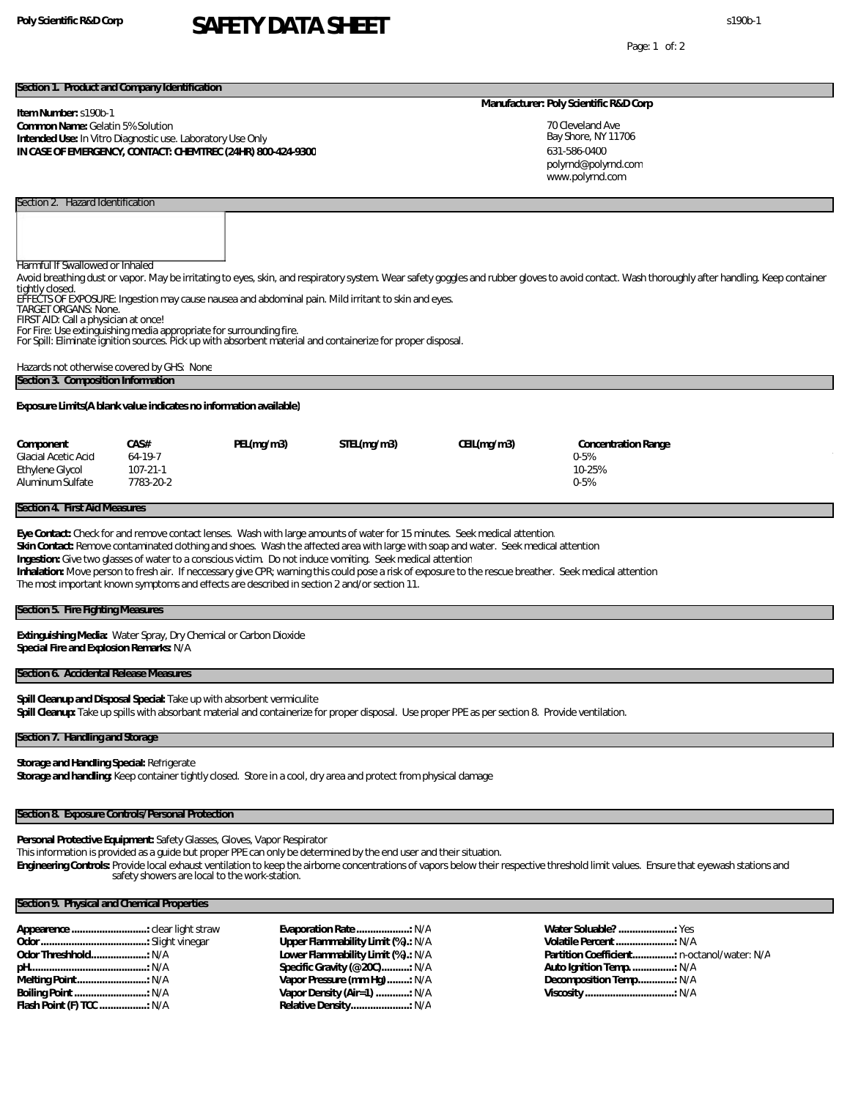# **Poly Scientific R&D Corp** s190b-1 **SAFETY DATA SHEET**

Page: 1 of: 2

### **Section 1. Product and Company Identification**

### **Item Number:** s190b-1

### **Common Name:** Gelatin 5% Solution **Intended Use:** In Vitro Diagnostic use. Laboratory Use Only **IN CASE OF EMERGENCY, CONTACT: CHEMTREC (24HR) 800-424-9300**

### **Manufacturer: Poly Scientific R&D Corp**

70 Cleveland Ave Bay Shore, NY 11706 631-586-0400 www.polyrnd.com polyrnd@polyrnd.com

Harmful If Swallowed or Inhaled

Avoid breathing dust or vapor. May be irritating to eyes, skin, and respiratory system. Wear safety goggles and rubber gloves to avoid contact. Wash thoroughly after handling. Keep container tightly closed.

EFFECTS OF EXPOSURE: Ingestion may cause nausea and abdominal pain. Mild irritant to skin and eyes. TARGET ORGANS: None.

FIRST AID: Call a physician at once!

Section 2. Hazard Identification

For Fire: Use extinguishing media appropriate for surrounding fire. For Spill: Eliminate ignition sources. Pick up with absorbent material and containerize for proper disposal.

| Hazards not otherwise covered by GHS: None |  |
|--------------------------------------------|--|
| Section 3. Composition Information         |  |

**Exposure Limits(A blank value indicates no information available)**

| Component           | CA S#     | PEL(mq/m3) | STEL(mq/m3) | CEIL(mq/m3) | Concentration Range |
|---------------------|-----------|------------|-------------|-------------|---------------------|
| Glacial Acetic Acid | 64-19-7   |            |             |             | 0-5%                |
| Ethylene Glycol     | 107-21-1  |            |             |             | 10-25%              |
| Aluminum Sulfate    | 7783-20-2 |            |             |             | 0-5%                |
|                     |           |            |             |             |                     |

### **Section 4. First Aid Measures**

**Eye Contact:** Check for and remove contact lenses. Wash with large amounts of water for 15 minutes. Seek medical attention.

**Skin Contact:** Remove contaminated clothing and shoes. Wash the affected area with large with soap and water. Seek medical attention

**Ingestion:** Give two glasses of water to a conscious victim. Do not induce vomiting. Seek medical attention

**Inhalation:** Move person to fresh air. If neccessary give CPR; warning this could pose a risk of exposure to the rescue breather. Seek medical attention The most important known symptoms and effects are described in section 2 and/or section 11.

# **Section 5. Fire Fighting Measures**

**Extinguishing Media:** Water Spray, Dry Chemical or Carbon Dioxide **Special Fire and Explosion Remarks:** N/A

### **Section 6. Accidental Release Measures**

**Spill Cleanup and Disposal Special:** Take up with absorbent vermiculite **Spill Cleanup:** Take up spills with absorbant material and containerize for proper disposal. Use proper PPE as per section 8. Provide ventilation.

### **Section 7. Handling and Storage**

**Storage and Handling Special:** Refrigerate **Storage and handling:** Keep container tightly closed. Store in a cool, dry area and protect from physical damage

### **Section 8. Exposure Controls/Personal Protection**

**Personal Protective Equipment:** Safety Glasses, Gloves, Vapor Respirator

This information is provided as a guide but proper PPE can only be determined by the end user and their situation.

**Engineering Controls:** Provide local exhaust ventilation to keep the airborne concentrations of vapors below their respective threshold limit values. Ensure that eyewash stations and safety showers are local to the work-station.

# **Section 9. Physical and Chemical Properties**

| Appearence  clear light straw |  |
|-------------------------------|--|
|                               |  |
| Odor Threshhold: N/A          |  |
|                               |  |
|                               |  |
|                               |  |
| Flash Point (F) TCC : N/A     |  |

**Evaporation Rate ...................:** N/A **Upper Flammability Limit (%).:** N/A **Lower Flammability Limit (%).:** N/A **Specific Gravity (@20C)..........:** N/A **Vapor Pressure (mm Hg)........:** N/A **Vapor Density (Air=1) ............:** N/A **Relative Density.....................:** N/A

**Water Soluable? ....................:** Yes **Volatile Percent.....................:** N/A **Partition Coefficient...............:** n-octanol/water: N/A **Auto Ignition Temp................:** N/A **Decomposition Temp.............:** N/A **Viscosity ................................:** N/A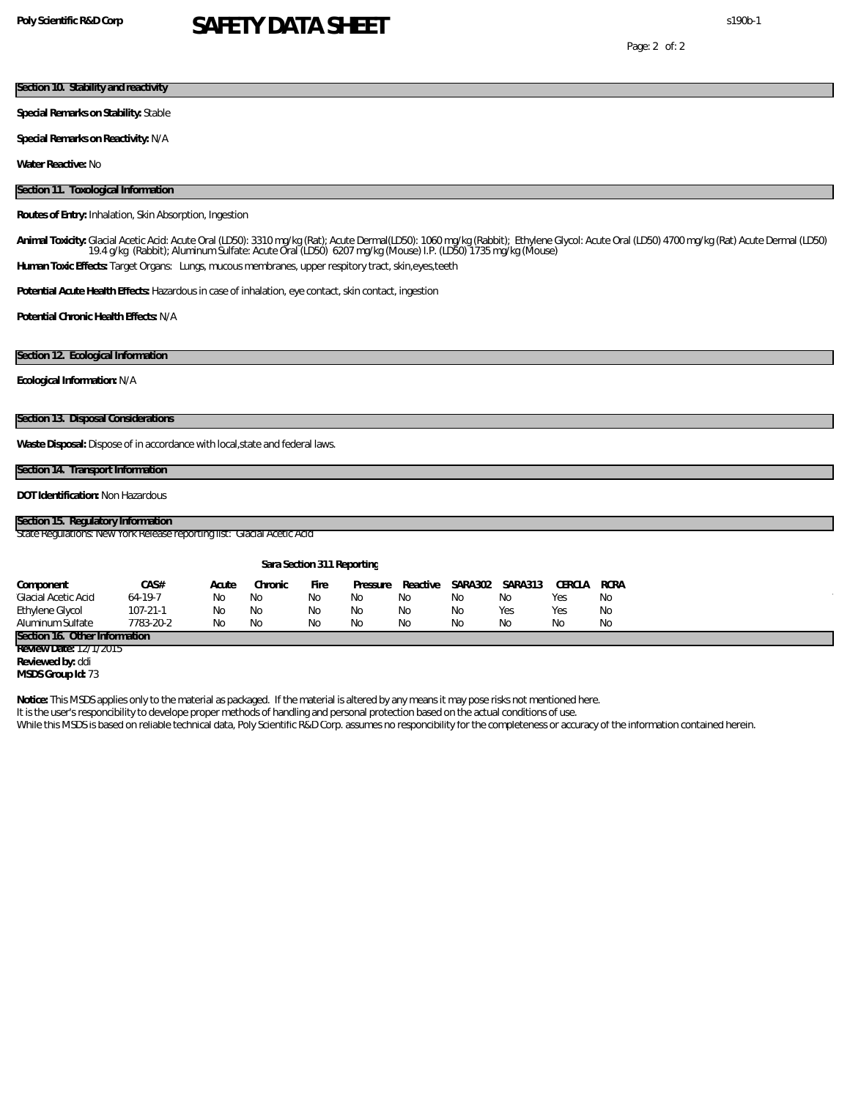# **Poly Scientific R&D Corp** s190b-1 **SAFETY DATA SHEET**

## **Section 10. Stability and reactivity**

**Special Remarks on Stability:** Stable

**Special Remarks on Reactivity:** N/A

**Water Reactive:** No

### **Section 11. Toxological Information**

### **Routes of Entry:** Inhalation, Skin Absorption, Ingestion

Animal Toxicity: Glacial Acetic Acid: Acute Oral (LD50): 3310 mg/kg (Rat); Acute Dermal(LD50): 1060 mg/kg (Rabbit); Ethylene Glycol: Acute Oral (LD50) 4700 mg/kg (Rat) Acute Dermal (LD50)<br>19.4 g/kg (Rabbit); Aluminum Sulfa **Human Toxic Effects:** Target Organs: Lungs, mucous membranes, upper respitory tract, skin,eyes,teeth

**Potential Acute Health Effects:** Hazardous in case of inhalation, eye contact, skin contact, ingestion

**Potential Chronic Health Effects:** N/A

### **Section 12. Ecological Information**

**Ecological Information:** N/A

## **Section 13. Disposal Considerations**

**Waste Disposal:** Dispose of in accordance with local,state and federal laws.

### **Section 14. Transport Information**

**DOT Identification:** Non Hazardous

# **Section 15. Regulatory Information**

State Regulations: New York Release reporting list: Glacial Acetic Acid

| Sara Section 311 Reporting    |                |       |          |             |          |          |           |         |         |      |
|-------------------------------|----------------|-------|----------|-------------|----------|----------|-----------|---------|---------|------|
| Component                     | CAS#           | Acute | Chronic. | <b>Fire</b> | Pressure | Reactive | SA RA 302 | SARA313 | CERCI A | RCRA |
| Glacial Acetic Acid           | $64-19-7$      | Nο    | Nο       | Nο          | Nο       | Nο       | Nο        | Nο      | Yes     | No   |
| Ethylene Glycol               | $107 - 21 - 1$ | Nο    | Nο       | Nο          | Nο       | Nο       | Nο        | Yes     | Yes     | Nο   |
| Aluminum Sulfate-             | 7783-20-2      | Nο    | Nο       | Nο          | Nο       | Nο       | Nο        | Nο      | Nο      | Nο   |
| Section 16, Other Information |                |       |          |             |          |          |           |         |         |      |

**Review Date:** 12/1/2015 **Reviewed by:** ddi

**MSDS Group Id:** 73

**Notice:** This MSDS applies only to the material as packaged. If the material is altered by any means it may pose risks not mentioned here.

It is the user's responcibility to develope proper methods of handling and personal protection based on the actual conditions of use.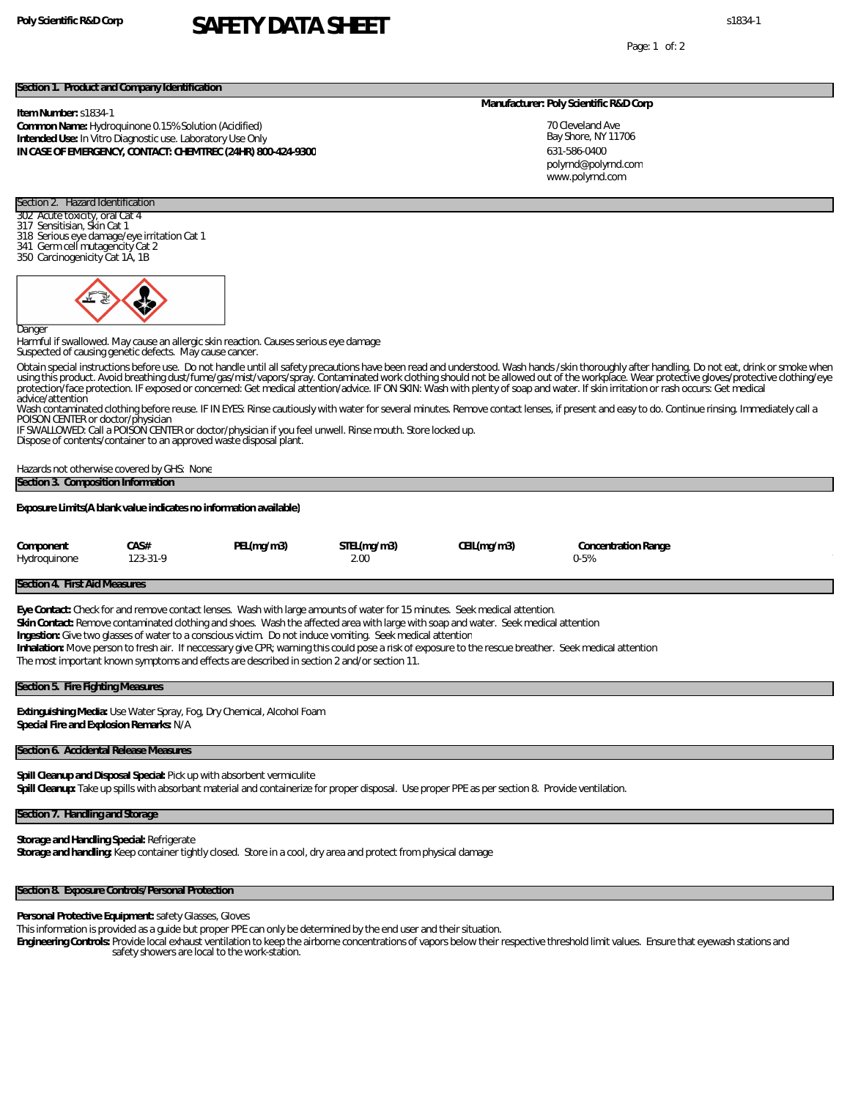# **Poly Scientific R&D Corp** s1834-1 **SAFETY DATA SHEET**

Page: 1 of: 2

### **Section 1. Product and Company Identification**

### **Item Number:** s1834-1

**Common Name:** Hydroquinone 0.15% Solution (Acidified) **Intended Use:** In Vitro Diagnostic use. Laboratory Use Only **IN CASE OF EMERGENCY, CONTACT: CHEMTREC (24HR) 800-424-9300**

#### **Manufacturer: Poly Scientific R&D Corp**

70 Cleveland Ave Bay Shore, NY 11706 631-586-0400 www.polyrnd.com polyrnd@polyrnd.com

### Section 2. Hazard Identification 302 Acute toxicity, oral Cat 4

- 317 Sensitisian, Skin Cat 1
- 318 Serious eye damage/eye irritation Cat 1
- 341 Germ cell mutagencity Cat 2
- 350 Carcinogenicity Cat 1A, 1B



Danger

Harmful if swallowed. May cause an allergic skin reaction. Causes serious eye damage Suspected of causing genetic defects. May cause cancer.

Obtain special instructions before use. Do not handle until all safety precautions have been read and understood. Wash hands /skin thoroughly after handling. Do not eat, drink or smoke when<br>using this product. Avoid breath advice/attention

Wash contaminated clothing before reuse. IF IN EYES: Rinse cautiously with water for several minutes. Remove contact lenses, if present and easy to do. Continue rinsing. Immediately call a

POISON CENTER or doctor/physician IF SWALLOWED: Call a POISON CENTER or doctor/physician if you feel unwell. Rinse mouth. Store locked up.

Dispose of contents/container to an approved waste disposal plant.

Hazards not otherwise covered by GHS: None

### **Section 3. Composition Information**

**Exposure Limits(A blank value indicates no information available)**

| Component    | CA S#    | PEL(mg/m3) | STEL(mg/m3) | CEIL(mg/m3) | Concentration Range |  |
|--------------|----------|------------|-------------|-------------|---------------------|--|
| Hydroquinone | 123-31-9 |            |             |             | 0-5%                |  |

### **Section 4. First Aid Measures**

**Eye Contact:** Check for and remove contact lenses. Wash with large amounts of water for 15 minutes. Seek medical attention. **Skin Contact:** Remove contaminated clothing and shoes. Wash the affected area with large with soap and water. Seek medical attention **Ingestion:** Give two glasses of water to a conscious victim. Do not induce vomiting. Seek medical attention **Inhalation:** Move person to fresh air. If neccessary give CPR; warning this could pose a risk of exposure to the rescue breather. Seek medical attention The most important known symptoms and effects are described in section 2 and/or section 11.

### **Section 5. Fire Fighting Measures**

**Extinguishing Media:** Use Water Spray, Fog, Dry Chemical, Alcohol Foam **Special Fire and Explosion Remarks:** N/A

### **Section 6. Accidental Release Measures**

**Spill Cleanup and Disposal Special:** Pick up with absorbent vermiculite **Spill Cleanup:** Take up spills with absorbant material and containerize for proper disposal. Use proper PPE as per section 8. Provide ventilation.

# **Section 7. Handling and Storage**

**Storage and Handling Special:** Refrigerate **Storage and handling:** Keep container tightly closed. Store in a cool, dry area and protect from physical damage

### **Section 8. Exposure Controls/Personal Protection**

**Personal Protective Equipment:** safety Glasses, Gloves

This information is provided as a guide but proper PPE can only be determined by the end user and their situation.

**Engineering Controls:** Provide local exhaust ventilation to keep the airborne concentrations of vapors below their respective threshold limit values. Ensure that eyewash stations and safety showers are local to the work-station.